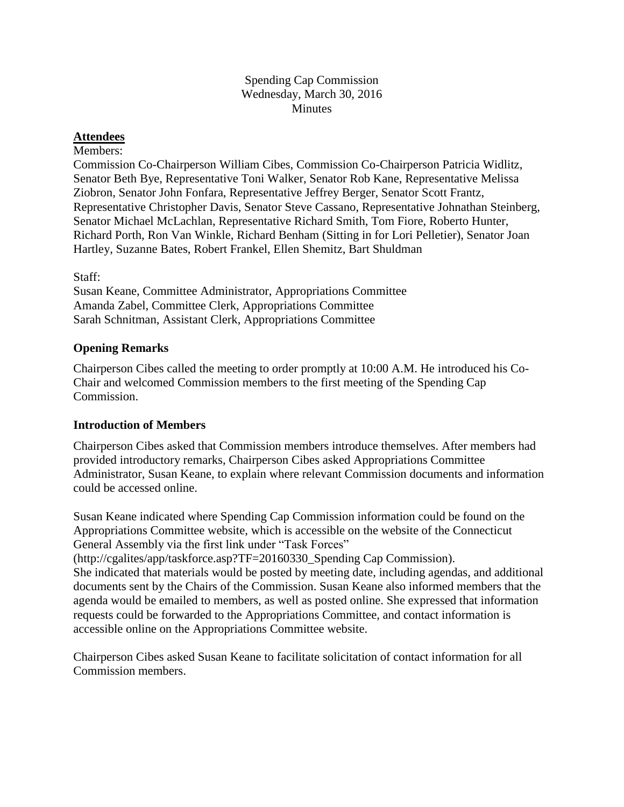### Spending Cap Commission Wednesday, March 30, 2016 **Minutes**

### **Attendees**

#### Members:

Commission Co-Chairperson William Cibes, Commission Co-Chairperson Patricia Widlitz, Senator Beth Bye, Representative Toni Walker, Senator Rob Kane, Representative Melissa Ziobron, Senator John Fonfara, Representative Jeffrey Berger, Senator Scott Frantz, Representative Christopher Davis, Senator Steve Cassano, Representative Johnathan Steinberg, Senator Michael McLachlan, Representative Richard Smith, Tom Fiore, Roberto Hunter, Richard Porth, Ron Van Winkle, Richard Benham (Sitting in for Lori Pelletier), Senator Joan Hartley, Suzanne Bates, Robert Frankel, Ellen Shemitz, Bart Shuldman

### Staff:

Susan Keane, Committee Administrator, Appropriations Committee Amanda Zabel, Committee Clerk, Appropriations Committee Sarah Schnitman, Assistant Clerk, Appropriations Committee

### **Opening Remarks**

Chairperson Cibes called the meeting to order promptly at 10:00 A.M. He introduced his Co-Chair and welcomed Commission members to the first meeting of the Spending Cap Commission.

### **Introduction of Members**

Chairperson Cibes asked that Commission members introduce themselves. After members had provided introductory remarks, Chairperson Cibes asked Appropriations Committee Administrator, Susan Keane, to explain where relevant Commission documents and information could be accessed online.

Susan Keane indicated where Spending Cap Commission information could be found on the Appropriations Committee website, which is accessible on the website of the Connecticut General Assembly via the first link under "Task Forces"

(http://cgalites/app/taskforce.asp?TF=20160330\_Spending Cap Commission).

She indicated that materials would be posted by meeting date, including agendas, and additional documents sent by the Chairs of the Commission. Susan Keane also informed members that the agenda would be emailed to members, as well as posted online. She expressed that information requests could be forwarded to the Appropriations Committee, and contact information is accessible online on the Appropriations Committee website.

Chairperson Cibes asked Susan Keane to facilitate solicitation of contact information for all Commission members.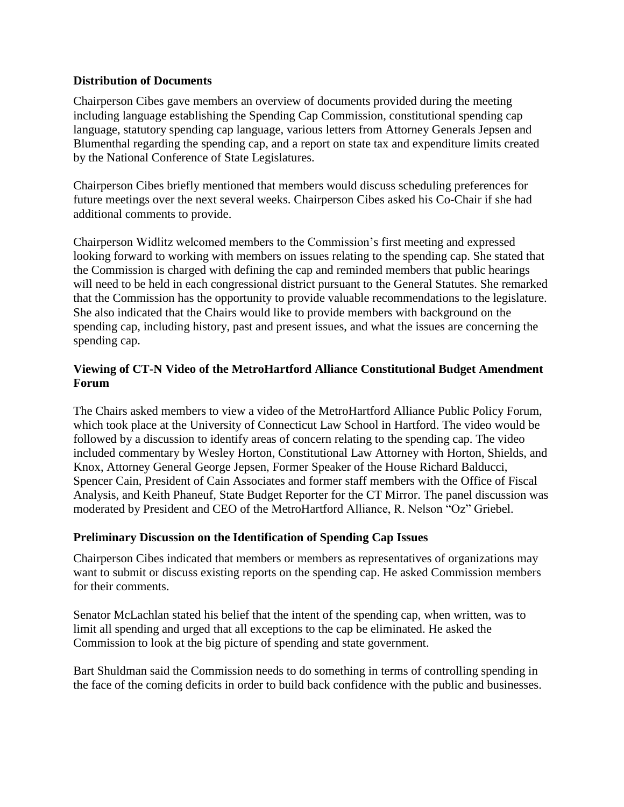## **Distribution of Documents**

Chairperson Cibes gave members an overview of documents provided during the meeting including language establishing the Spending Cap Commission, constitutional spending cap language, statutory spending cap language, various letters from Attorney Generals Jepsen and Blumenthal regarding the spending cap, and a report on state tax and expenditure limits created by the National Conference of State Legislatures.

Chairperson Cibes briefly mentioned that members would discuss scheduling preferences for future meetings over the next several weeks. Chairperson Cibes asked his Co-Chair if she had additional comments to provide.

Chairperson Widlitz welcomed members to the Commission's first meeting and expressed looking forward to working with members on issues relating to the spending cap. She stated that the Commission is charged with defining the cap and reminded members that public hearings will need to be held in each congressional district pursuant to the General Statutes. She remarked that the Commission has the opportunity to provide valuable recommendations to the legislature. She also indicated that the Chairs would like to provide members with background on the spending cap, including history, past and present issues, and what the issues are concerning the spending cap.

## **Viewing of CT-N Video of the MetroHartford Alliance Constitutional Budget Amendment Forum**

The Chairs asked members to view a video of the MetroHartford Alliance Public Policy Forum, which took place at the University of Connecticut Law School in Hartford. The video would be followed by a discussion to identify areas of concern relating to the spending cap. The video included commentary by Wesley Horton, Constitutional Law Attorney with Horton, Shields, and Knox, Attorney General George Jepsen, Former Speaker of the House Richard Balducci, Spencer Cain, President of Cain Associates and former staff members with the Office of Fiscal Analysis, and Keith Phaneuf, State Budget Reporter for the CT Mirror. The panel discussion was moderated by President and CEO of the MetroHartford Alliance, R. Nelson "Oz" Griebel.

### **Preliminary Discussion on the Identification of Spending Cap Issues**

Chairperson Cibes indicated that members or members as representatives of organizations may want to submit or discuss existing reports on the spending cap. He asked Commission members for their comments.

Senator McLachlan stated his belief that the intent of the spending cap, when written, was to limit all spending and urged that all exceptions to the cap be eliminated. He asked the Commission to look at the big picture of spending and state government.

Bart Shuldman said the Commission needs to do something in terms of controlling spending in the face of the coming deficits in order to build back confidence with the public and businesses.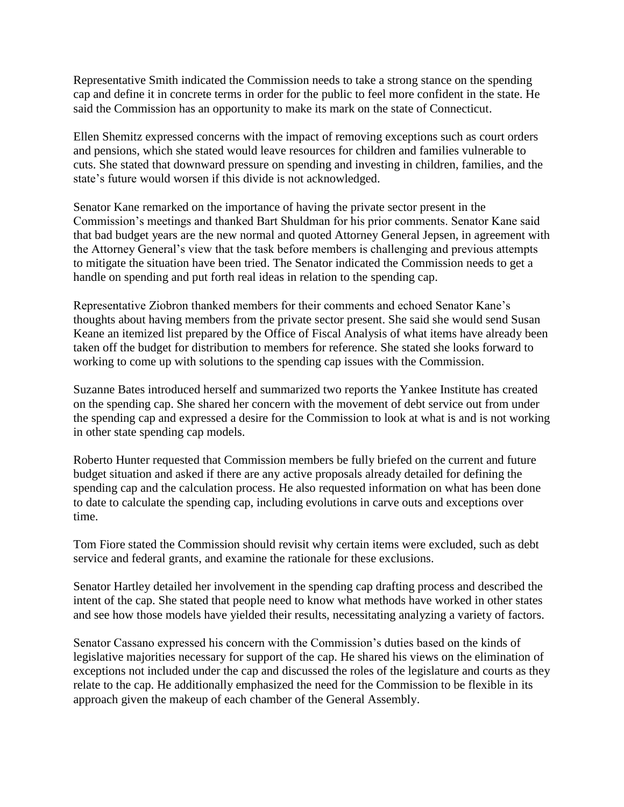Representative Smith indicated the Commission needs to take a strong stance on the spending cap and define it in concrete terms in order for the public to feel more confident in the state. He said the Commission has an opportunity to make its mark on the state of Connecticut.

Ellen Shemitz expressed concerns with the impact of removing exceptions such as court orders and pensions, which she stated would leave resources for children and families vulnerable to cuts. She stated that downward pressure on spending and investing in children, families, and the state's future would worsen if this divide is not acknowledged.

Senator Kane remarked on the importance of having the private sector present in the Commission's meetings and thanked Bart Shuldman for his prior comments. Senator Kane said that bad budget years are the new normal and quoted Attorney General Jepsen, in agreement with the Attorney General's view that the task before members is challenging and previous attempts to mitigate the situation have been tried. The Senator indicated the Commission needs to get a handle on spending and put forth real ideas in relation to the spending cap.

Representative Ziobron thanked members for their comments and echoed Senator Kane's thoughts about having members from the private sector present. She said she would send Susan Keane an itemized list prepared by the Office of Fiscal Analysis of what items have already been taken off the budget for distribution to members for reference. She stated she looks forward to working to come up with solutions to the spending cap issues with the Commission.

Suzanne Bates introduced herself and summarized two reports the Yankee Institute has created on the spending cap. She shared her concern with the movement of debt service out from under the spending cap and expressed a desire for the Commission to look at what is and is not working in other state spending cap models.

Roberto Hunter requested that Commission members be fully briefed on the current and future budget situation and asked if there are any active proposals already detailed for defining the spending cap and the calculation process. He also requested information on what has been done to date to calculate the spending cap, including evolutions in carve outs and exceptions over time.

Tom Fiore stated the Commission should revisit why certain items were excluded, such as debt service and federal grants, and examine the rationale for these exclusions.

Senator Hartley detailed her involvement in the spending cap drafting process and described the intent of the cap. She stated that people need to know what methods have worked in other states and see how those models have yielded their results, necessitating analyzing a variety of factors.

Senator Cassano expressed his concern with the Commission's duties based on the kinds of legislative majorities necessary for support of the cap. He shared his views on the elimination of exceptions not included under the cap and discussed the roles of the legislature and courts as they relate to the cap. He additionally emphasized the need for the Commission to be flexible in its approach given the makeup of each chamber of the General Assembly.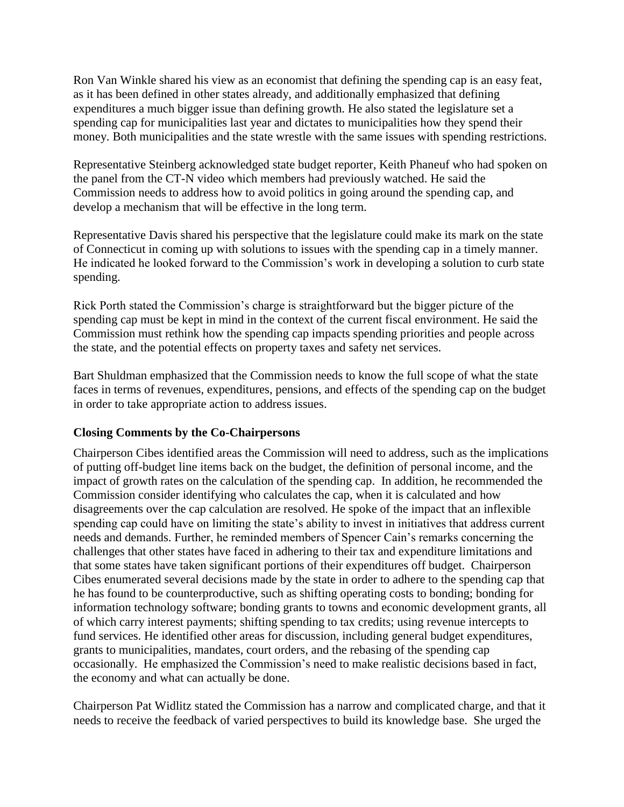Ron Van Winkle shared his view as an economist that defining the spending cap is an easy feat, as it has been defined in other states already, and additionally emphasized that defining expenditures a much bigger issue than defining growth. He also stated the legislature set a spending cap for municipalities last year and dictates to municipalities how they spend their money. Both municipalities and the state wrestle with the same issues with spending restrictions.

Representative Steinberg acknowledged state budget reporter, Keith Phaneuf who had spoken on the panel from the CT-N video which members had previously watched. He said the Commission needs to address how to avoid politics in going around the spending cap, and develop a mechanism that will be effective in the long term.

Representative Davis shared his perspective that the legislature could make its mark on the state of Connecticut in coming up with solutions to issues with the spending cap in a timely manner. He indicated he looked forward to the Commission's work in developing a solution to curb state spending.

Rick Porth stated the Commission's charge is straightforward but the bigger picture of the spending cap must be kept in mind in the context of the current fiscal environment. He said the Commission must rethink how the spending cap impacts spending priorities and people across the state, and the potential effects on property taxes and safety net services.

Bart Shuldman emphasized that the Commission needs to know the full scope of what the state faces in terms of revenues, expenditures, pensions, and effects of the spending cap on the budget in order to take appropriate action to address issues.

# **Closing Comments by the Co-Chairpersons**

Chairperson Cibes identified areas the Commission will need to address, such as the implications of putting off-budget line items back on the budget, the definition of personal income, and the impact of growth rates on the calculation of the spending cap. In addition, he recommended the Commission consider identifying who calculates the cap, when it is calculated and how disagreements over the cap calculation are resolved. He spoke of the impact that an inflexible spending cap could have on limiting the state's ability to invest in initiatives that address current needs and demands. Further, he reminded members of Spencer Cain's remarks concerning the challenges that other states have faced in adhering to their tax and expenditure limitations and that some states have taken significant portions of their expenditures off budget. Chairperson Cibes enumerated several decisions made by the state in order to adhere to the spending cap that he has found to be counterproductive, such as shifting operating costs to bonding; bonding for information technology software; bonding grants to towns and economic development grants, all of which carry interest payments; shifting spending to tax credits; using revenue intercepts to fund services. He identified other areas for discussion, including general budget expenditures, grants to municipalities, mandates, court orders, and the rebasing of the spending cap occasionally. He emphasized the Commission's need to make realistic decisions based in fact, the economy and what can actually be done.

Chairperson Pat Widlitz stated the Commission has a narrow and complicated charge, and that it needs to receive the feedback of varied perspectives to build its knowledge base. She urged the